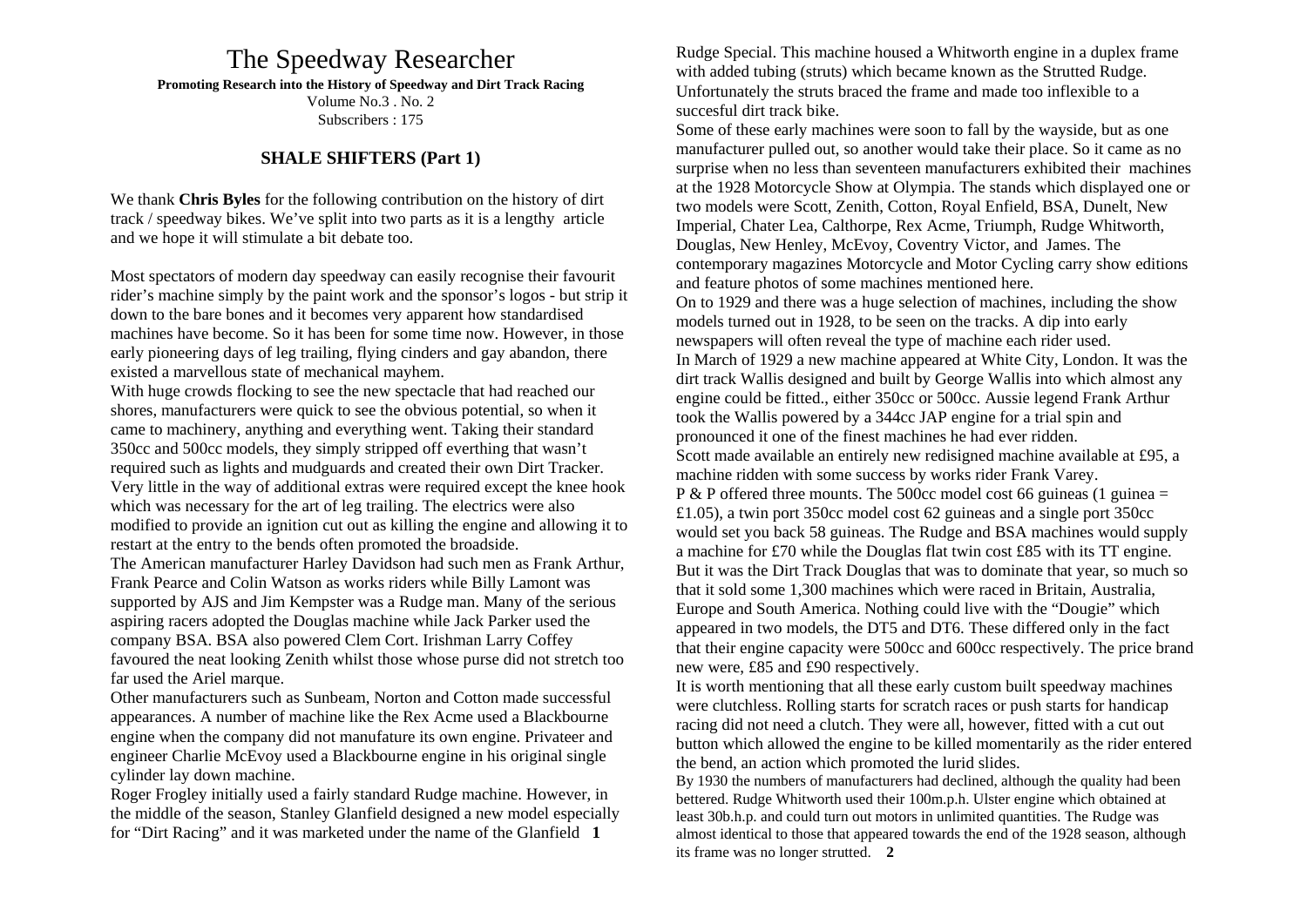# The Speedway Researcher

**Promoting Research into the History of Speedway and Dirt Track Racing**

Volume No.3 . No. 2 Subscribers : 175

# **SHALE SHIFTERS (Part 1)**

We thank **Chris Byles** for the following contribution on the history of dirt track / speedway bikes. We've split into two parts as it is a lengthy article and we hope it will stimulate a bit debate too.

Most spectators of modern day speedway can easily recognise their favourit rider's machine simply by the paint work and the sponsor's logos - but strip it down to the bare bones and it becomes very apparent how standardised machines have become. So it has been for some time now. However, in those early pioneering days of leg trailing, flying cinders and gay abandon, there existed a marvellous state of mechanical mayhem.

With huge crowds flocking to see the new spectacle that had reached our shores, manufacturers were quick to see the obvious potential, so when it came to machinery, anything and everything went. Taking their standard 350cc and 500cc models, they simply stripped off everthing that wasn't required such as lights and mudguards and created their own Dirt Tracker. Very little in the way of additional extras were required except the knee hook which was necessary for the art of leg trailing. The electrics were also modified to provide an ignition cut out as killing the engine and allowing it to restart at the entry to the bends often promoted the broadside.

The American manufacturer Harley Davidson had such men as Frank Arthur, Frank Pearce and Colin Watson as works riders while Billy Lamont was supported by AJS and Jim Kempster was a Rudge man. Many of the serious aspiring racers adopted the Douglas machine while Jack Parker used the company BSA. BSA also powered Clem Cort. Irishman Larry Coffey favoured the neat looking Zenith whilst those whose purse did not stretch too far used the Ariel marque.

Other manufacturers such as Sunbeam, Norton and Cotton made successful appearances. A number of machine like the Rex Acme used a Blackbourne engine when the company did not manufature its own engine. Privateer and engineer Charlie McEvoy used a Blackbourne engine in his original single cylinder lay down machine.

Roger Frogley initially used a fairly standard Rudge machine. However, in the middle of the season, Stanley Glanfield designed a new model especially for "Dirt Racing" and it was marketed under the name of the Glanfield **1** 

Rudge Special. This machine housed a Whitworth engine in a duplex frame with added tubing (struts) which became known as the Strutted Rudge. Unfortunately the struts braced the frame and made too inflexible to a succesful dirt track bike.

Some of these early machines were soon to fall by the wayside, but as one manufacturer pulled out, so another would take their place. So it came as no surprise when no less than seventeen manufacturers exhibited their machines at the 1928 Motorcycle Show at Olympia. The stands which displayed one or two models were Scott, Zenith, Cotton, Royal Enfield, BSA, Dunelt, New Imperial, Chater Lea, Calthorpe, Rex Acme, Triumph, Rudge Whitworth, Douglas, New Henley, McEvoy, Coventry Victor, and James. The contemporary magazines Motorcycle and Motor Cycling carry show editions and feature photos of some machines mentioned here. On to 1929 and there was a huge selection of machines, including the show models turned out in 1928, to be seen on the tracks. A dip into early newspapers will often reveal the type of machine each rider used. In March of 1929 a new machine appeared at White City, London. It was the dirt track Wallis designed and built by George Wallis into which almost any engine could be fitted., either 350cc or 500cc. Aussie legend Frank Arthur took the Wallis powered by a 344cc JAP engine for a trial spin and pronounced it one of the finest machines he had ever ridden. Scott made available an entirely new redisigned machine available at £95, a machine ridden with some success by works rider Frank Varey. P & P offered three mounts. The 500cc model cost 66 guineas (1 guinea  $=$ £1.05), a twin port 350cc model cost 62 guineas and a single port 350cc would set you back 58 guineas. The Rudge and BSA machines would supply a machine for £70 while the Douglas flat twin cost £85 with its TT engine. But it was the Dirt Track Douglas that was to dominate that year, so much so that it sold some 1,300 machines which were raced in Britain, Australia, Europe and South America. Nothing could live with the "Dougie" which appeared in two models, the DT5 and DT6. These differed only in the fact that their engine capacity were 500cc and 600cc respectively. The price brand new were, £85 and £90 respectively.

It is worth mentioning that all these early custom built speedway machines were clutchless. Rolling starts for scratch races or push starts for handicap racing did not need a clutch. They were all, however, fitted with a cut out button which allowed the engine to be killed momentarily as the rider entered the bend, an action which promoted the lurid slides.

By 1930 the numbers of manufacturers had declined, although the quality had been bettered. Rudge Whitworth used their 100m.p.h. Ulster engine which obtained at least 30b.h.p. and could turn out motors in unlimited quantities. The Rudge was almost identical to those that appeared towards the end of the 1928 season, although its frame was no longer strutted. **2**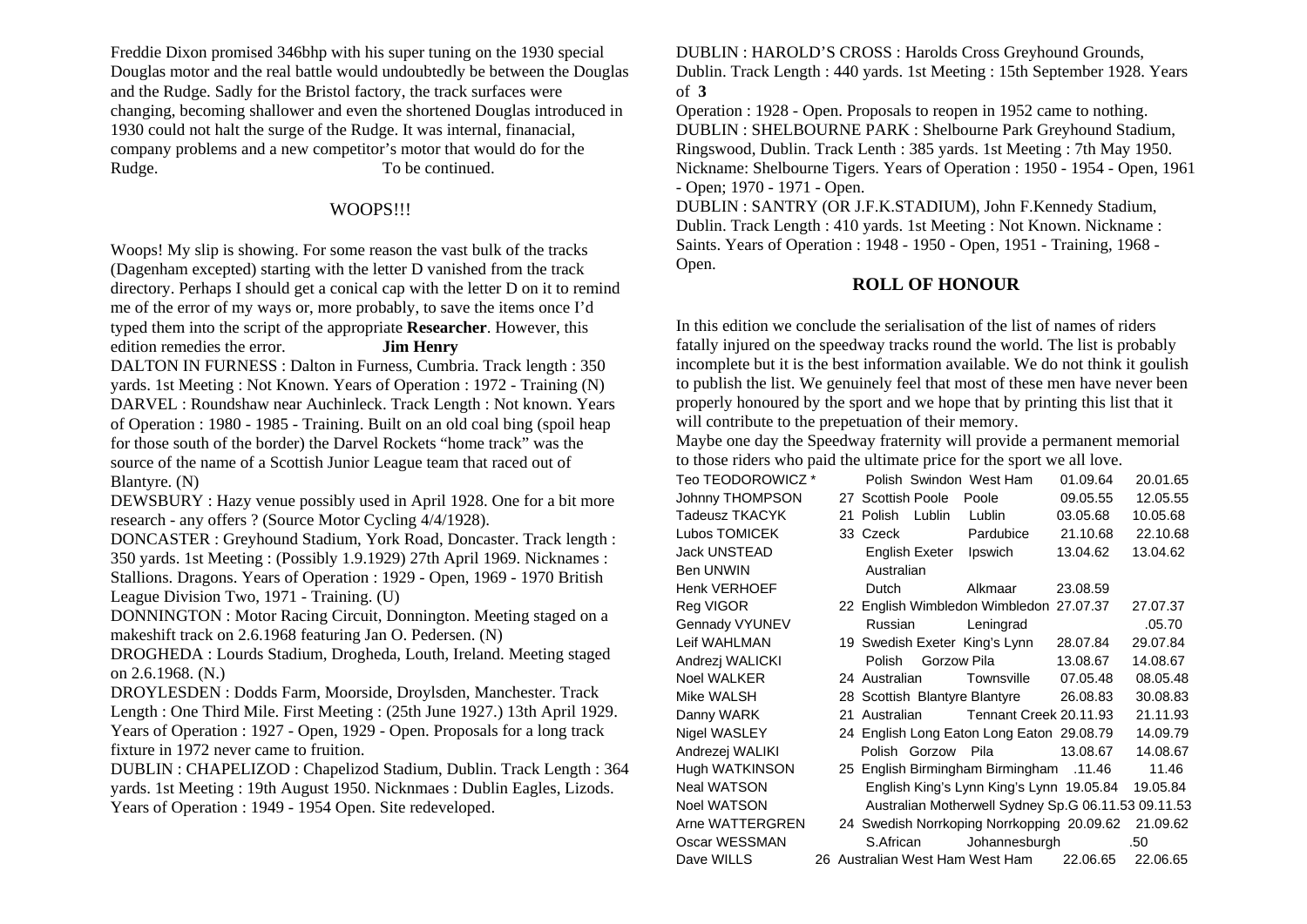Freddie Dixon promised 346bhp with his super tuning on the 1930 special Douglas motor and the real battle would undoubtedly be between the Douglas and the Rudge. Sadly for the Bristol factory, the track surfaces were changing, becoming shallower and even the shortened Douglas introduced in 1930 could not halt the surge of the Rudge. It was internal, finanacial, company problems and a new competitor's motor that would do for the Rudge. To be continued.

### WOOPS!!!

Woops! My slip is showing. For some reason the vast bulk of the tracks (Dagenham excepted) starting with the letter D vanished from the track directory. Perhaps I should get a conical cap with the letter D on it to remind me of the error of my ways or, more probably, to save the items once I'd typed them into the script of the appropriate **Researcher**. However, this edition remedies the error. **Jim Henry** 

DALTON IN FURNESS : Dalton in Furness, Cumbria. Track length : 350 yards. 1st Meeting : Not Known. Years of Operation : 1972 - Training (N) DARVEL : Roundshaw near Auchinleck. Track Length : Not known. Years of Operation : 1980 - 1985 - Training. Built on an old coal bing (spoil heap for those south of the border) the Darvel Rockets "home track" was the source of the name of a Scottish Junior League team that raced out of Blantyre. (N)

DEWSBURY : Hazy venue possibly used in April 1928. One for a bit more research - any offers ? (Source Motor Cycling 4/4/1928).

DONCASTER : Greyhound Stadium, York Road, Doncaster. Track length : 350 yards. 1st Meeting : (Possibly 1.9.1929) 27th April 1969. Nicknames : Stallions. Dragons. Years of Operation : 1929 - Open, 1969 - 1970 British League Division Two, 1971 - Training. (U)

DONNINGTON : Motor Racing Circuit, Donnington. Meeting staged on a makeshift track on 2.6.1968 featuring Jan O. Pedersen. (N)

DROGHEDA : Lourds Stadium, Drogheda, Louth, Ireland. Meeting staged on 2.6.1968. (N.)

DROYLESDEN : Dodds Farm, Moorside, Droylsden, Manchester. Track Length : One Third Mile. First Meeting : (25th June 1927.) 13th April 1929. Years of Operation : 1927 - Open, 1929 - Open. Proposals for a long track fixture in 1972 never came to fruition.

DUBLIN : CHAPELIZOD : Chapelizod Stadium, Dublin. Track Length : 364 yards. 1st Meeting : 19th August 1950. Nicknmaes : Dublin Eagles, Lizods. Years of Operation : 1949 - 1954 Open. Site redeveloped.

DUBLIN : HAROLD'S CROSS : Harolds Cross Greyhound Grounds, Dublin. Track Length : 440 yards. 1st Meeting : 15th September 1928. Years of **3** 

Operation : 1928 - Open. Proposals to reopen in 1952 came to nothing. DUBLIN : SHELBOURNE PARK : Shelbourne Park Greyhound Stadium, Ringswood, Dublin. Track Lenth : 385 yards. 1st Meeting : 7th May 1950. Nickname: Shelbourne Tigers. Years of Operation : 1950 - 1954 - Open, 1961 - Open; 1970 - 1971 - Open.

DUBLIN : SANTRY (OR J.F.K.STADIUM), John F.Kennedy Stadium, Dublin. Track Length : 410 yards. 1st Meeting : Not Known. Nickname : Saints. Years of Operation : 1948 - 1950 - Open, 1951 - Training, 1968 - Open.

### **ROLL OF HONOUR**

In this edition we conclude the serialisation of the list of names of riders fatally injured on the speedway tracks round the world. The list is probably incomplete but it is the best information available. We do not think it goulish to publish the list. We genuinely feel that most of these men have never been properly honoured by the sport and we hope that by printing this list that it will contribute to the prepetuation of their memory.

Maybe one day the Speedway fraternity will provide a permanent memorial to those riders who paid the ultimate price for the sport we all love.

| Teo TEODOROWICZ * | Polish Swindon West Ham                    |                                                     | 01.09.64 | 20.01.65 |
|-------------------|--------------------------------------------|-----------------------------------------------------|----------|----------|
| Johnny THOMPSON   | 27 Scottish Poole                          | Poole                                               | 09.05.55 | 12.05.55 |
| Tadeusz TKACYK    | 21 Polish<br>Lublin                        | Lublin                                              | 03.05.68 | 10.05.68 |
| Lubos TOMICEK     | 33 Czeck                                   | Pardubice                                           | 21.10.68 | 22.10.68 |
| Jack UNSTEAD      | English Exeter                             | Ipswich                                             | 13.04.62 | 13.04.62 |
| Ben UNWIN         | Australian                                 |                                                     |          |          |
| Henk VERHOEF      | Dutch                                      | Alkmaar                                             | 23.08.59 |          |
| Reg VIGOR         | 22 English Wimbledon Wimbledon 27.07.37    |                                                     |          | 27.07.37 |
| Gennady VYUNEV    | Russian                                    | Leningrad                                           |          | .05.70   |
| Leif WAHLMAN      | 19 Swedish Exeter King's Lynn              |                                                     | 28.07.84 | 29.07.84 |
| Andrezj WALICKI   | Polish Gorzow Pila                         |                                                     | 13.08.67 | 14.08.67 |
| Noel WALKER       | 24 Australian                              | Townsville                                          | 07.05.48 | 08.05.48 |
| Mike WALSH        | 28 Scottish Blantyre Blantyre              |                                                     | 26.08.83 | 30.08.83 |
| Danny WARK        | 21 Australian                              | Tennant Creek 20.11.93                              |          | 21.11.93 |
| Nigel WASLEY      | 24 English Long Eaton Long Eaton 29.08.79  |                                                     |          | 14.09.79 |
| Andrezej WALIKI   |                                            | Polish Gorzow Pila                                  | 13.08.67 | 14.08.67 |
| Hugh WATKINSON    | 25 English Birmingham Birmingham .11.46    |                                                     |          | 11.46    |
| Neal WATSON       |                                            | English King's Lynn King's Lynn 19.05.84            |          | 19.05.84 |
| Noel WATSON       |                                            | Australian Motherwell Sydney Sp.G 06.11.53 09.11.53 |          |          |
| Arne WATTERGREN   | 24 Swedish Norrkoping Norrkopping 20.09.62 |                                                     |          | 21.09.62 |
| Oscar WESSMAN     | S.African                                  | Johannesburgh                                       |          | .50      |
| Dave WILLS        | 26 Australian West Ham West Ham            |                                                     | 22.06.65 | 22.06.65 |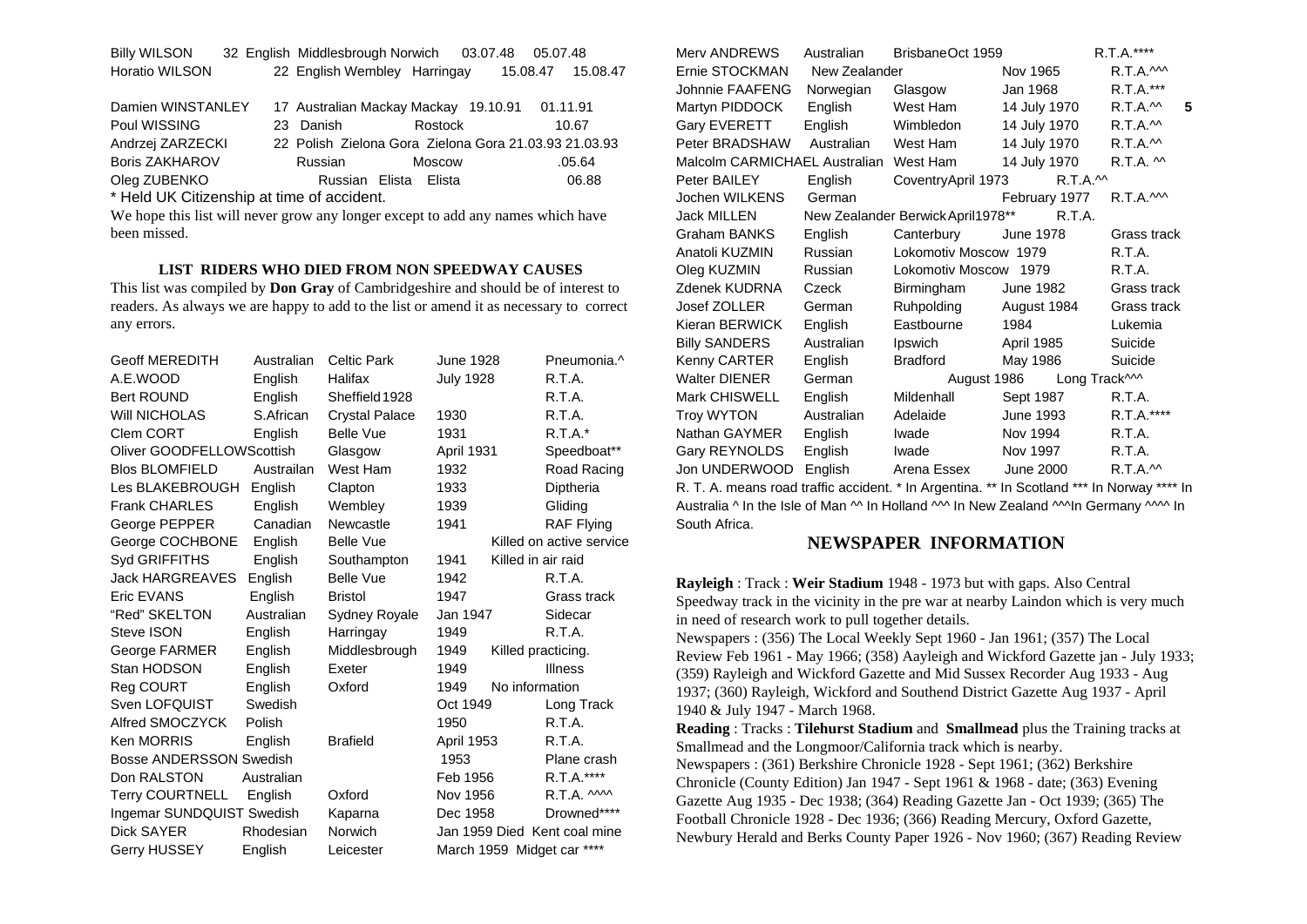| <b>Billy WILSON</b>   |  | 32 English Middlesbrough Norwich | 03.07.48 05.07.48 |          |          |
|-----------------------|--|----------------------------------|-------------------|----------|----------|
| <b>Horatio WILSON</b> |  | 22 English Wembley Harringay     |                   | 15.08.47 | 15.08.47 |

| Damien WINSTANLEY 17 Australian Mackay Mackay 19.10.91 01.11.91 |           |                                                       |        |
|-----------------------------------------------------------------|-----------|-------------------------------------------------------|--------|
| Poul WISSING                                                    | 23 Danish | Rostock                                               | 10.67  |
| Andrzej ZARZECKI                                                |           | 22 Polish Zielona Gora Zielona Gora 21.03.93 21.03.93 |        |
| <b>Boris ZAKHAROV</b>                                           | Russian   | Moscow                                                | .05.64 |
| Oleg ZUBENKO                                                    |           | Russian Elista Elista                                 | 06.88  |
| * Hald LIK Citizanchin at time of accident                      |           |                                                       |        |

Held UK Citizenship at time of accident.

We hope this list will never grow any longer except to add any names which have been missed.

#### **LIST RIDERS WHO DIED FROM NON SPEEDWAY CAUSES**

This list was compiled by **Don Gray** of Cambridgeshire and should be of interest to readers. As always we are happy to add to the list or amend it as necessary to correct any errors.

| <b>Geoff MEREDITH</b>          | Australian | <b>Celtic Park</b>    | <b>June 1928</b> |                    | Pneumonia.^                  |
|--------------------------------|------------|-----------------------|------------------|--------------------|------------------------------|
| A.E.WOOD                       | English    | Halifax               | <b>July 1928</b> |                    | R.T.A.                       |
| <b>Bert ROUND</b>              | English    | Sheffield 1928        |                  |                    | R.T.A.                       |
| <b>WIII NICHOLAS</b>           | S.African  | <b>Crystal Palace</b> | 1930             |                    | R.T.A.                       |
| Clem CORT                      | English    | <b>Belle Vue</b>      | 1931             |                    | $R.T.A.*$                    |
| Oliver GOODFELLOWScottish      |            | Glasgow               | April 1931       |                    | Speedboat**                  |
| <b>Blos BLOMFIELD</b>          | Austrailan | West Ham              | 1932             |                    | Road Racing                  |
| Les BLAKEBROUGH                | English    | Clapton               | 1933             |                    | Diptheria                    |
| <b>Frank CHARLES</b>           | English    | Wembley               | 1939             |                    | Gliding                      |
| George PEPPER                  | Canadian   | Newcastle             | 1941             |                    | <b>RAF Flying</b>            |
| George COCHBONE                | English    | <b>Belle Vue</b>      |                  |                    | Killed on active service     |
| Syd GRIFFITHS                  | English    | Southampton           | 1941             | Killed in air raid |                              |
| <b>Jack HARGREAVES</b>         | English    | <b>Belle Vue</b>      | 1942             |                    | R.T.A.                       |
| Eric EVANS                     | English    | <b>Bristol</b>        | 1947             |                    | Grass track                  |
| "Red" SKELTON                  | Australian | Sydney Royale         | Jan 1947         |                    | Sidecar                      |
| Steve ISON                     | English    | Harringay             | 1949             |                    | R.T.A.                       |
| George FARMER                  | English    | Middlesbrough         | 1949             | Killed practicing. |                              |
| Stan HODSON                    | English    | Exeter                | 1949             |                    | <b>Illness</b>               |
| Reg COURT                      | English    | Oxford                | 1949             | No information     |                              |
| Sven LOFQUIST                  | Swedish    |                       | Oct 1949         |                    | Long Track                   |
| Alfred SMOCZYCK                | Polish     |                       | 1950             |                    | R.T.A.                       |
| <b>Ken MORRIS</b>              | English    | <b>Brafield</b>       | April 1953       |                    | R.T.A.                       |
| <b>Bosse ANDERSSON Swedish</b> |            |                       | 1953             |                    | Plane crash                  |
| Don RALSTON                    | Australian |                       | Feb 1956         |                    | R.T.A.****                   |
| <b>Terry COURTNELL</b>         | English    | Oxford                | Nov 1956         |                    | R.T.A. $M$                   |
| Ingemar SUNDQUIST Swedish      |            | Kaparna               | Dec 1958         |                    | Drowned****                  |
| <b>Dick SAYER</b>              | Rhodesian  | Norwich               |                  |                    | Jan 1959 Died Kent coal mine |
| Gerry HUSSEY                   | English    | Leicester             |                  |                    | March 1959 Midget car ****   |

| Merv ANDREWS                                                                               | Australian                                                                            | BrisbaneOct 1959                  |                   | R.T.A.****        |  |  |  |  |
|--------------------------------------------------------------------------------------------|---------------------------------------------------------------------------------------|-----------------------------------|-------------------|-------------------|--|--|--|--|
| Ernie STOCKMAN                                                                             | New Zealander                                                                         |                                   | Nov 1965          | $R.T.A.$ M        |  |  |  |  |
| <b>Johnnie FAAFENG</b>                                                                     | Norwegian                                                                             | Glasgow                           | Jan 1968          | R.T.A.***         |  |  |  |  |
| Martyn PIDDOCK                                                                             | English                                                                               | West Ham                          | 14 July 1970      | R.T.A.<br>5       |  |  |  |  |
| Gary EVERETT                                                                               | English                                                                               | Wimbledon                         | 14 July 1970      | R.T.A.            |  |  |  |  |
| Peter BRADSHAW                                                                             | Australian                                                                            | West Ham                          | 14 July 1970      | R.T.A.            |  |  |  |  |
| Malcolm CARMICHAEL Australian West Ham                                                     |                                                                                       |                                   | 14 July 1970      | $R.T.A.$ $\sim$   |  |  |  |  |
| Peter BAILEY                                                                               | English                                                                               | CoventryApril 1973                | $R.T.A.^{\wedge}$ |                   |  |  |  |  |
| Jochen WILKENS                                                                             | German                                                                                |                                   | February 1977     | R.T.A.M           |  |  |  |  |
| <b>Jack MILLEN</b>                                                                         |                                                                                       | New Zealander Berwick April1978** | R.T.A.            |                   |  |  |  |  |
| <b>Graham BANKS</b>                                                                        | English                                                                               | Canterbury                        | <b>June 1978</b>  | Grass track       |  |  |  |  |
| Anatoli KUZMIN                                                                             | Russian                                                                               | Lokomotiv Moscow 1979             |                   | R.T.A.            |  |  |  |  |
| Oleg KUZMIN                                                                                | Russian                                                                               | Lokomotiv Moscow 1979             |                   | R.T.A.            |  |  |  |  |
| Zdenek KUDRNA                                                                              | Czeck                                                                                 | Birmingham                        | June 1982         | Grass track       |  |  |  |  |
| Josef ZOLLER                                                                               | German                                                                                | Ruhpolding                        | August 1984       | Grass track       |  |  |  |  |
| Kieran BERWICK                                                                             | English                                                                               | Eastbourne                        | 1984              | Lukemia           |  |  |  |  |
| <b>Billy SANDERS</b>                                                                       | Australian                                                                            | Ipswich                           | April 1985        | Suicide           |  |  |  |  |
| Kenny CARTER                                                                               | English                                                                               | Bradford                          | May 1986          | Suicide           |  |  |  |  |
| <b>Walter DIENER</b>                                                                       | German                                                                                | August 1986                       | Long Track^^^     |                   |  |  |  |  |
| Mark CHISWELL                                                                              | English                                                                               | Mildenhall                        | Sept 1987         | R.T.A.            |  |  |  |  |
| <b>Troy WYTON</b>                                                                          | Australian                                                                            | Adelaide                          | June 1993         | R.T.A.****        |  |  |  |  |
| Nathan GAYMER                                                                              | English                                                                               | Iwade                             | Nov 1994          | R.T.A.            |  |  |  |  |
| Gary REYNOLDS                                                                              | English                                                                               | Iwade                             | Nov 1997          | R.T.A.            |  |  |  |  |
| Jon UNDERWOOD                                                                              | English                                                                               | Arena Essex                       | June 2000         | $R.T.A.^{\wedge}$ |  |  |  |  |
| R. T. A. means road traffic accident. * In Argentina. ** In Scotland *** In Norway **** In |                                                                                       |                                   |                   |                   |  |  |  |  |
|                                                                                            | Australia A In the Jole of Man AA In Holland AAA In New Zealand AAAIn Cormany AAAA In |                                   |                   |                   |  |  |  |  |

Australia ^ In the Isle of Man ^^ In Holland ^^^ In New Zealand ^^^In Germany ^^^^ In South Africa.

#### **NEWSPAPER INFORMATION**

**Rayleigh** : Track : **Weir Stadium** 1948 - 1973 but with gaps. Also Central Speedway track in the vicinity in the pre war at nearby Laindon which is very much in need of research work to pull together details.

Newspapers : (356) The Local Weekly Sept 1960 - Jan 1961; (357) The Local Review Feb 1961 - May 1966; (358) Aayleigh and Wickford Gazette jan - July 1933; (359) Rayleigh and Wickford Gazette and Mid Sussex Recorder Aug 1933 - Aug 1937; (360) Rayleigh, Wickford and Southend District Gazette Aug 1937 - April 1940 & July 1947 - March 1968.

**Reading** : Tracks : **Tilehurst Stadium** and **Smallmead** plus the Training tracks at Smallmead and the Longmoor/California track which is nearby. Newspapers : (361) Berkshire Chronicle 1928 - Sept 1961; (362) Berkshire Chronicle (County Edition) Jan 1947 - Sept 1961 & 1968 - date; (363) Evening Gazette Aug 1935 - Dec 1938; (364) Reading Gazette Jan - Oct 1939; (365) The Football Chronicle 1928 - Dec 1936; (366) Reading Mercury, Oxford Gazette, Newbury Herald and Berks County Paper 1926 - Nov 1960; (367) Reading Review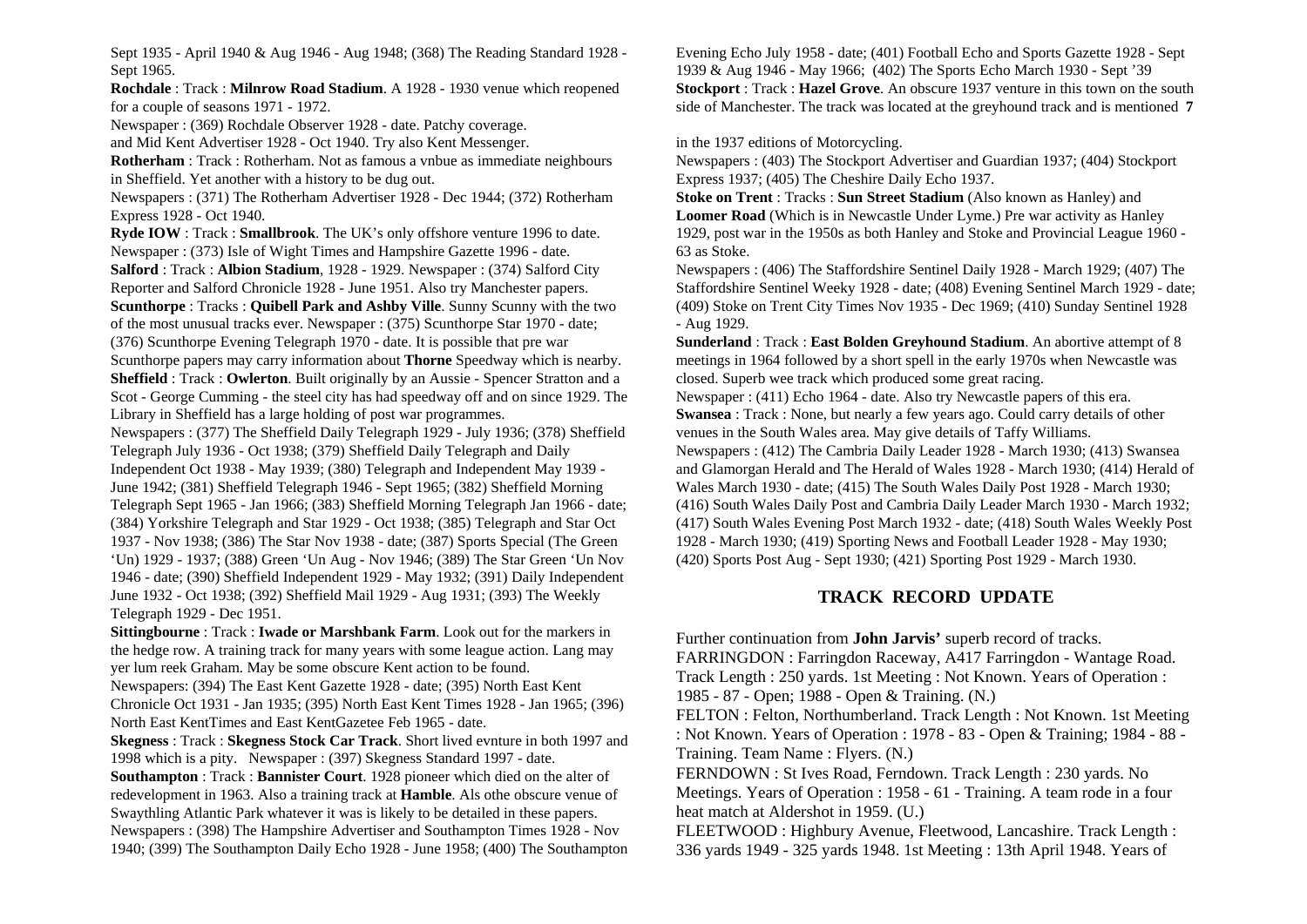Sept 1935 - April 1940 & Aug 1946 - Aug 1948; (368) The Reading Standard 1928 - Sept 1965.

**Rochdale** : Track : **Milnrow Road Stadium**. A 1928 - 1930 venue which reopened for a couple of seasons 1971 - 1972.

Newspaper : (369) Rochdale Observer 1928 - date. Patchy coverage. and Mid Kent Advertiser 1928 - Oct 1940. Try also Kent Messenger.

**Rotherham** : Track : Rotherham. Not as famous a vnbue as immediate neighbours in Sheffield. Yet another with a history to be dug out.

Newspapers : (371) The Rotherham Advertiser 1928 - Dec 1944; (372) Rotherham Express 1928 - Oct 1940.

**Ryde IOW** : Track : **Smallbrook**. The UK's only offshore venture 1996 to date. Newspaper : (373) Isle of Wight Times and Hampshire Gazette 1996 - date. **Salford** : Track : **Albion Stadium**, 1928 - 1929. Newspaper : (374) Salford City Reporter and Salford Chronicle 1928 - June 1951. Also try Manchester papers. **Scunthorpe** : Tracks : **Quibell Park and Ashby Ville**. Sunny Scunny with the two of the most unusual tracks ever. Newspaper : (375) Scunthorpe Star 1970 - date; (376) Scunthorpe Evening Telegraph 1970 - date. It is possible that pre war

Scunthorpe papers may carry information about **Thorne** Speedway which is nearby. **Sheffield** : Track : **Owlerton**. Built originally by an Aussie - Spencer Stratton and a Scot - George Cumming - the steel city has had speedway off and on since 1929. The Library in Sheffield has a large holding of post war programmes.

Newspapers : (377) The Sheffield Daily Telegraph 1929 - July 1936; (378) Sheffield Telegraph July 1936 - Oct 1938; (379) Sheffield Daily Telegraph and Daily Independent Oct 1938 - May 1939; (380) Telegraph and Independent May 1939 - June 1942; (381) Sheffield Telegraph 1946 - Sept 1965; (382) Sheffield Morning Telegraph Sept 1965 - Jan 1966; (383) Sheffield Morning Telegraph Jan 1966 - date; (384) Yorkshire Telegraph and Star 1929 - Oct 1938; (385) Telegraph and Star Oct 1937 - Nov 1938; (386) The Star Nov 1938 - date; (387) Sports Special (The Green 'Un) 1929 - 1937; (388) Green 'Un Aug - Nov 1946; (389) The Star Green 'Un Nov 1946 - date; (390) Sheffield Independent 1929 - May 1932; (391) Daily Independent June 1932 - Oct 1938; (392) Sheffield Mail 1929 - Aug 1931; (393) The Weekly Telegraph 1929 - Dec 1951.

**Sittingbourne** : Track : **Iwade or Marshbank Farm**. Look out for the markers in the hedge row. A training track for many years with some league action. Lang may yer lum reek Graham. May be some obscure Kent action to be found. Newspapers: (394) The East Kent Gazette 1928 - date; (395) North East Kent Chronicle Oct 1931 - Jan 1935; (395) North East Kent Times 1928 - Jan 1965; (396) North East KentTimes and East KentGazetee Feb 1965 - date.

**Skegness** : Track : **Skegness Stock Car Track**. Short lived evnture in both 1997 and 1998 which is a pity. Newspaper : (397) Skegness Standard 1997 - date.

**Southampton** : Track : **Bannister Court**. 1928 pioneer which died on the alter of redevelopment in 1963. Also a training track at **Hamble**. Als othe obscure venue of Swaythling Atlantic Park whatever it was is likely to be detailed in these papers. Newspapers : (398) The Hampshire Advertiser and Southampton Times 1928 - Nov 1940; (399) The Southampton Daily Echo 1928 - June 1958; (400) The Southampton Evening Echo July 1958 - date; (401) Football Echo and Sports Gazette 1928 - Sept 1939 & Aug 1946 - May 1966; (402) The Sports Echo March 1930 - Sept '39 **Stockport** : Track : **Hazel Grove**. An obscure 1937 venture in this town on the south side of Manchester. The track was located at the greyhound track and is mentioned **7** 

in the 1937 editions of Motorcycling.

Newspapers : (403) The Stockport Advertiser and Guardian 1937; (404) Stockport Express 1937; (405) The Cheshire Daily Echo 1937.

**Stoke on Trent** : Tracks : **Sun Street Stadium** (Also known as Hanley) and **Loomer Road** (Which is in Newcastle Under Lyme.) Pre war activity as Hanley 1929, post war in the 1950s as both Hanley and Stoke and Provincial League 1960 - 63 as Stoke.

Newspapers : (406) The Staffordshire Sentinel Daily 1928 - March 1929; (407) The Staffordshire Sentinel Weeky 1928 - date; (408) Evening Sentinel March 1929 - date; (409) Stoke on Trent City Times Nov 1935 - Dec 1969; (410) Sunday Sentinel 1928 - Aug 1929.

**Sunderland** : Track : **East Bolden Greyhound Stadium**. An abortive attempt of 8 meetings in 1964 followed by a short spell in the early 1970s when Newcastle was closed. Superb wee track which produced some great racing.

Newspaper : (411) Echo 1964 - date. Also try Newcastle papers of this era. **Swansea** : Track : None, but nearly a few years ago. Could carry details of other venues in the South Wales area. May give details of Taffy Williams. Newspapers : (412) The Cambria Daily Leader 1928 - March 1930; (413) Swansea and Glamorgan Herald and The Herald of Wales 1928 - March 1930; (414) Herald of Wales March 1930 - date; (415) The South Wales Daily Post 1928 - March 1930; (416) South Wales Daily Post and Cambria Daily Leader March 1930 - March 1932; (417) South Wales Evening Post March 1932 - date; (418) South Wales Weekly Post 1928 - March 1930; (419) Sporting News and Football Leader 1928 - May 1930; (420) Sports Post Aug - Sept 1930; (421) Sporting Post 1929 - March 1930.

# **TRACK RECORD UPDATE**

Further continuation from **John Jarvis'** superb record of tracks.

FARRINGDON : Farringdon Raceway, A417 Farringdon - Wantage Road. Track Length : 250 yards. 1st Meeting : Not Known. Years of Operation :

1985 - 87 - Open; 1988 - Open & Training. (N.)

FELTON : Felton, Northumberland. Track Length : Not Known. 1st Meeting : Not Known. Years of Operation : 1978 - 83 - Open & Training; 1984 - 88 - Training. Team Name : Flyers. (N.)

FERNDOWN : St Ives Road, Ferndown. Track Length : 230 yards. No Meetings. Years of Operation : 1958 - 61 - Training. A team rode in a four heat match at Aldershot in 1959. (U.)

FLEETWOOD : Highbury Avenue, Fleetwood, Lancashire. Track Length : 336 yards 1949 - 325 yards 1948. 1st Meeting : 13th April 1948. Years of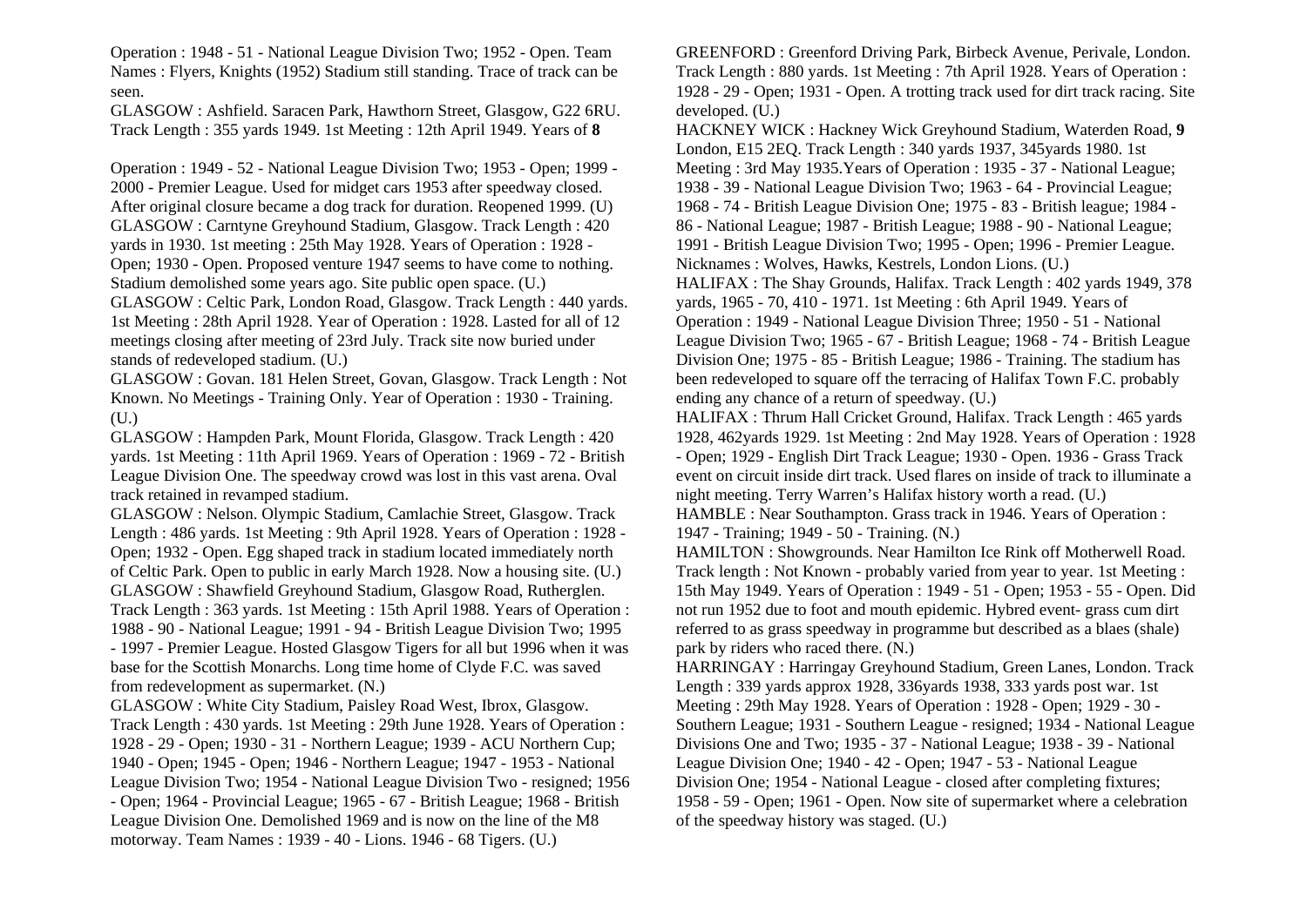Operation : 1948 - 51 - National League Division Two; 1952 - Open. Team Names : Flyers, Knights (1952) Stadium still standing. Trace of track can be seen.

GLASGOW : Ashfield. Saracen Park, Hawthorn Street, Glasgow, G22 6RU. Track Length : 355 yards 1949. 1st Meeting : 12th April 1949. Years of **8** 

Operation : 1949 - 52 - National League Division Two; 1953 - Open; 1999 - 2000 - Premier League. Used for midget cars 1953 after speedway closed. After original closure became a dog track for duration. Reopened 1999. (U) GLASGOW : Carntyne Greyhound Stadium, Glasgow. Track Length : 420 yards in 1930. 1st meeting : 25th May 1928. Years of Operation : 1928 - Open; 1930 - Open. Proposed venture 1947 seems to have come to nothing. Stadium demolished some years ago. Site public open space. (U.)

GLASGOW : Celtic Park, London Road, Glasgow. Track Length : 440 yards. 1st Meeting : 28th April 1928. Year of Operation : 1928. Lasted for all of 12 meetings closing after meeting of 23rd July. Track site now buried under stands of redeveloped stadium. (U.)

GLASGOW : Govan. 181 Helen Street, Govan, Glasgow. Track Length : Not Known. No Meetings - Training Only. Year of Operation : 1930 - Training. (U.)

GLASGOW : Hampden Park, Mount Florida, Glasgow. Track Length : 420 yards. 1st Meeting : 11th April 1969. Years of Operation : 1969 - 72 - British League Division One. The speedway crowd was lost in this vast arena. Oval track retained in revamped stadium.

GLASGOW : Nelson. Olympic Stadium, Camlachie Street, Glasgow. Track Length : 486 yards. 1st Meeting : 9th April 1928. Years of Operation : 1928 - Open; 1932 - Open. Egg shaped track in stadium located immediately north of Celtic Park. Open to public in early March 1928. Now a housing site. (U.) GLASGOW : Shawfield Greyhound Stadium, Glasgow Road, Rutherglen. Track Length : 363 yards. 1st Meeting : 15th April 1988. Years of Operation : 1988 - 90 - National League; 1991 - 94 - British League Division Two; 1995 - 1997 - Premier League. Hosted Glasgow Tigers for all but 1996 when it was base for the Scottish Monarchs. Long time home of Clyde F.C. was saved from redevelopment as supermarket. (N.)

GLASGOW : White City Stadium, Paisley Road West, Ibrox, Glasgow. Track Length : 430 yards. 1st Meeting : 29th June 1928. Years of Operation : 1928 - 29 - Open; 1930 - 31 - Northern League; 1939 - ACU Northern Cup; 1940 - Open; 1945 - Open; 1946 - Northern League; 1947 - 1953 - National League Division Two; 1954 - National League Division Two - resigned; 1956 - Open; 1964 - Provincial League; 1965 - 67 - British League; 1968 - British League Division One. Demolished 1969 and is now on the line of the M8 motorway. Team Names : 1939 - 40 - Lions. 1946 - 68 Tigers. (U.)

GREENFORD : Greenford Driving Park, Birbeck Avenue, Perivale, London. Track Length : 880 yards. 1st Meeting : 7th April 1928. Years of Operation : 1928 - 29 - Open; 1931 - Open. A trotting track used for dirt track racing. Site developed. (U.) HACKNEY WICK : Hackney Wick Greyhound Stadium, Waterden Road, **9**  London, E15 2EQ. Track Length : 340 yards 1937, 345yards 1980. 1st Meeting : 3rd May 1935.Years of Operation : 1935 - 37 - National League; 1938 - 39 - National League Division Two; 1963 - 64 - Provincial League; 1968 - 74 - British League Division One; 1975 - 83 - British league; 1984 - 86 - National League; 1987 - British League; 1988 - 90 - National League; 1991 - British League Division Two; 1995 - Open; 1996 - Premier League. Nicknames : Wolves, Hawks, Kestrels, London Lions. (U.) HALIFAX : The Shay Grounds, Halifax. Track Length : 402 yards 1949, 378 yards, 1965 - 70, 410 - 1971. 1st Meeting : 6th April 1949. Years of Operation : 1949 - National League Division Three; 1950 - 51 - National League Division Two; 1965 - 67 - British League; 1968 - 74 - British League Division One; 1975 - 85 - British League; 1986 - Training. The stadium has been redeveloped to square off the terracing of Halifax Town F.C. probably ending any chance of a return of speedway. (U.) HALIFAX : Thrum Hall Cricket Ground, Halifax. Track Length : 465 yards 1928, 462yards 1929. 1st Meeting : 2nd May 1928. Years of Operation : 1928 - Open; 1929 - English Dirt Track League; 1930 - Open. 1936 - Grass Track event on circuit inside dirt track. Used flares on inside of track to illuminate a night meeting. Terry Warren's Halifax history worth a read. (U.) HAMBLE : Near Southampton. Grass track in 1946. Years of Operation : 1947 - Training; 1949 - 50 - Training. (N.) HAMILTON : Showgrounds. Near Hamilton Ice Rink off Motherwell Road. Track length : Not Known - probably varied from year to year. 1st Meeting : 15th May 1949. Years of Operation : 1949 - 51 - Open; 1953 - 55 - Open. Did not run 1952 due to foot and mouth epidemic. Hybred event- grass cum dirt referred to as grass speedway in programme but described as a blaes (shale) park by riders who raced there. (N.) HARRINGAY : Harringay Greyhound Stadium, Green Lanes, London. Track Length : 339 yards approx 1928, 336yards 1938, 333 yards post war. 1st Meeting : 29th May 1928. Years of Operation : 1928 - Open; 1929 - 30 - Southern League; 1931 - Southern League - resigned; 1934 - National League Divisions One and Two; 1935 - 37 - National League; 1938 - 39 - National League Division One; 1940 - 42 - Open; 1947 - 53 - National League Division One; 1954 - National League - closed after completing fixtures; 1958 - 59 - Open; 1961 - Open. Now site of supermarket where a celebration of the speedway history was staged. (U.)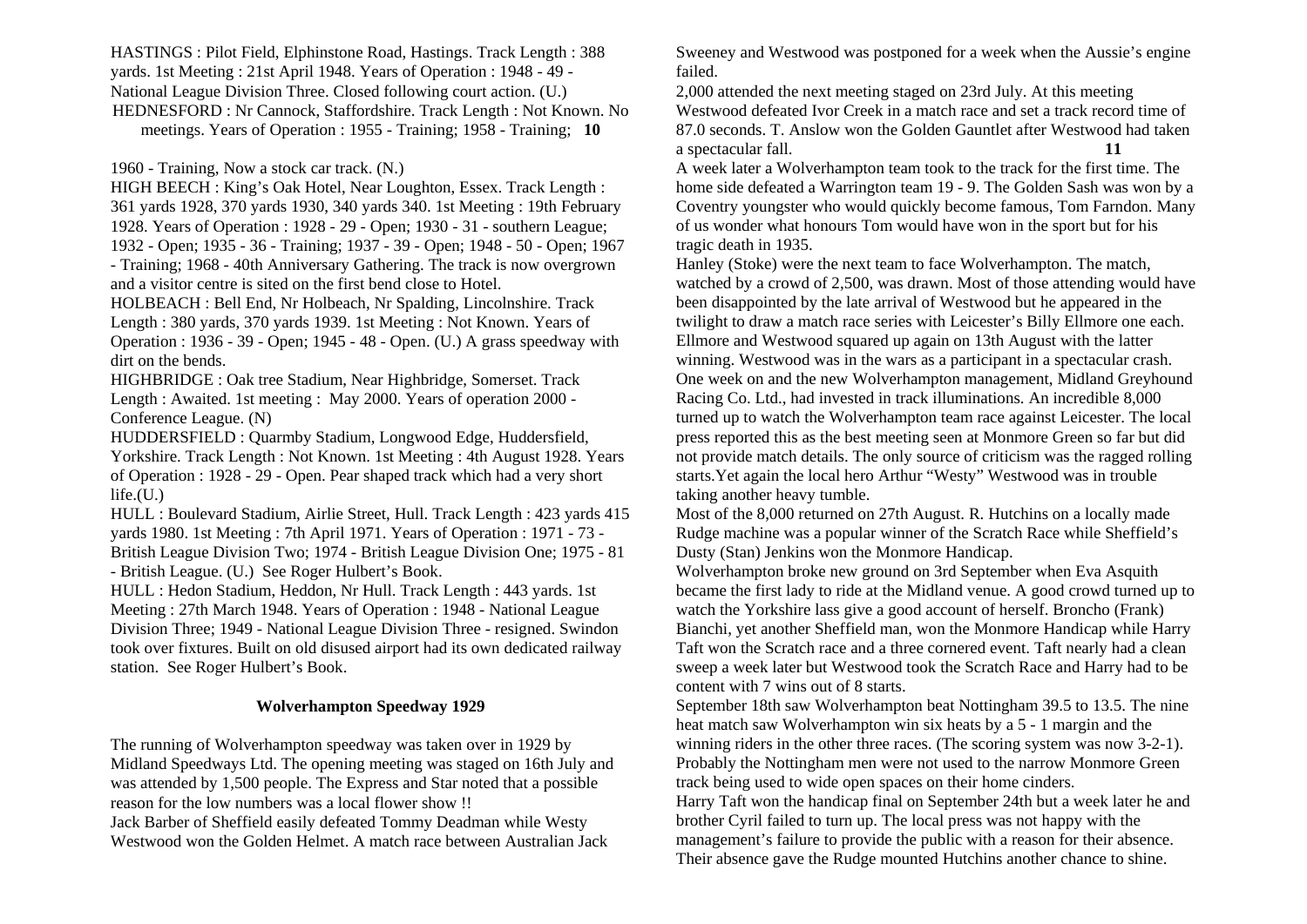HASTINGS : Pilot Field, Elphinstone Road, Hastings. Track Length : 388 yards. 1st Meeting : 21st April 1948. Years of Operation : 1948 - 49 - National League Division Three. Closed following court action. (U.) HEDNESFORD : Nr Cannock, Staffordshire. Track Length : Not Known. No meetings. Years of Operation : 1955 - Training; 1958 - Training; **10** 

1960 - Training, Now a stock car track. (N.)

HIGH BEECH : King's Oak Hotel, Near Loughton, Essex. Track Length : 361 yards 1928, 370 yards 1930, 340 yards 340. 1st Meeting : 19th February 1928. Years of Operation : 1928 - 29 - Open; 1930 - 31 - southern League; 1932 - Open; 1935 - 36 - Training; 1937 - 39 - Open; 1948 - 50 - Open; 1967 - Training; 1968 - 40th Anniversary Gathering. The track is now overgrown and a visitor centre is sited on the first bend close to Hotel.

HOLBEACH : Bell End, Nr Holbeach, Nr Spalding, Lincolnshire. Track Length : 380 yards, 370 yards 1939. 1st Meeting : Not Known. Years of Operation : 1936 - 39 - Open; 1945 - 48 - Open. (U.) A grass speedway with dirt on the bends.

HIGHBRIDGE : Oak tree Stadium, Near Highbridge, Somerset. Track Length : Awaited. 1st meeting : May 2000. Years of operation 2000 - Conference League. (N)

HUDDERSFIELD : Quarmby Stadium, Longwood Edge, Huddersfield, Yorkshire. Track Length : Not Known. 1st Meeting : 4th August 1928. Years of Operation : 1928 - 29 - Open. Pear shaped track which had a very short  $life.(U.)$ 

HULL : Boulevard Stadium, Airlie Street, Hull. Track Length : 423 yards 415 yards 1980. 1st Meeting : 7th April 1971. Years of Operation : 1971 - 73 - British League Division Two; 1974 - British League Division One; 1975 - 81 - British League. (U.) See Roger Hulbert's Book.

HULL : Hedon Stadium, Heddon, Nr Hull. Track Length : 443 yards. 1st Meeting : 27th March 1948. Years of Operation : 1948 - National League Division Three; 1949 - National League Division Three - resigned. Swindon took over fixtures. Built on old disused airport had its own dedicated railway station. See Roger Hulbert's Book.

### **Wolverhampton Speedway 1929**

The running of Wolverhampton speedway was taken over in 1929 by Midland Speedways Ltd. The opening meeting was staged on 16th July and was attended by 1,500 people. The Express and Star noted that a possible reason for the low numbers was a local flower show !! Jack Barber of Sheffield easily defeated Tommy Deadman while Westy Westwood won the Golden Helmet. A match race between Australian Jack

Sweeney and Westwood was postponed for a week when the Aussie's engine failed.

2,000 attended the next meeting staged on 23rd July. At this meeting Westwood defeated Ivor Creek in a match race and set a track record time of 87.0 seconds. T. Anslow won the Golden Gauntlet after Westwood had taken a spectacular fall. **11** 

A week later a Wolverhampton team took to the track for the first time. The home side defeated a Warrington team 19 - 9. The Golden Sash was won by a Coventry youngster who would quickly become famous, Tom Farndon. Many of us wonder what honours Tom would have won in the sport but for his tragic death in 1935.

Hanley (Stoke) were the next team to face Wolverhampton. The match, watched by a crowd of 2,500, was drawn. Most of those attending would have been disappointed by the late arrival of Westwood but he appeared in the twilight to draw a match race series with Leicester's Billy Ellmore one each. Ellmore and Westwood squared up again on 13th August with the latter winning. Westwood was in the wars as a participant in a spectacular crash. One week on and the new Wolverhampton management, Midland Greyhound Racing Co. Ltd., had invested in track illuminations. An incredible 8,000 turned up to watch the Wolverhampton team race against Leicester. The local press reported this as the best meeting seen at Monmore Green so far but did not provide match details. The only source of criticism was the ragged rolling starts.Yet again the local hero Arthur "Westy" Westwood was in trouble taking another heavy tumble.

Most of the 8,000 returned on 27th August. R. Hutchins on a locally made Rudge machine was a popular winner of the Scratch Race while Sheffield's Dusty (Stan) Jenkins won the Monmore Handicap.

Wolverhampton broke new ground on 3rd September when Eva Asquith became the first lady to ride at the Midland venue. A good crowd turned up to watch the Yorkshire lass give a good account of herself. Broncho (Frank) Bianchi, yet another Sheffield man, won the Monmore Handicap while Harry Taft won the Scratch race and a three cornered event. Taft nearly had a clean sweep a week later but Westwood took the Scratch Race and Harry had to be content with 7 wins out of 8 starts.

September 18th saw Wolverhampton beat Nottingham 39.5 to 13.5. The nine heat match saw Wolverhampton win six heats by a 5 - 1 margin and the winning riders in the other three races. (The scoring system was now 3-2-1). Probably the Nottingham men were not used to the narrow Monmore Green track being used to wide open spaces on their home cinders.

Harry Taft won the handicap final on September 24th but a week later he and brother Cyril failed to turn up. The local press was not happy with the managemen<sup>t</sup>'s failure to provide the public with a reason for their absence. Their absence gave the Rudge mounted Hutchins another chance to shine.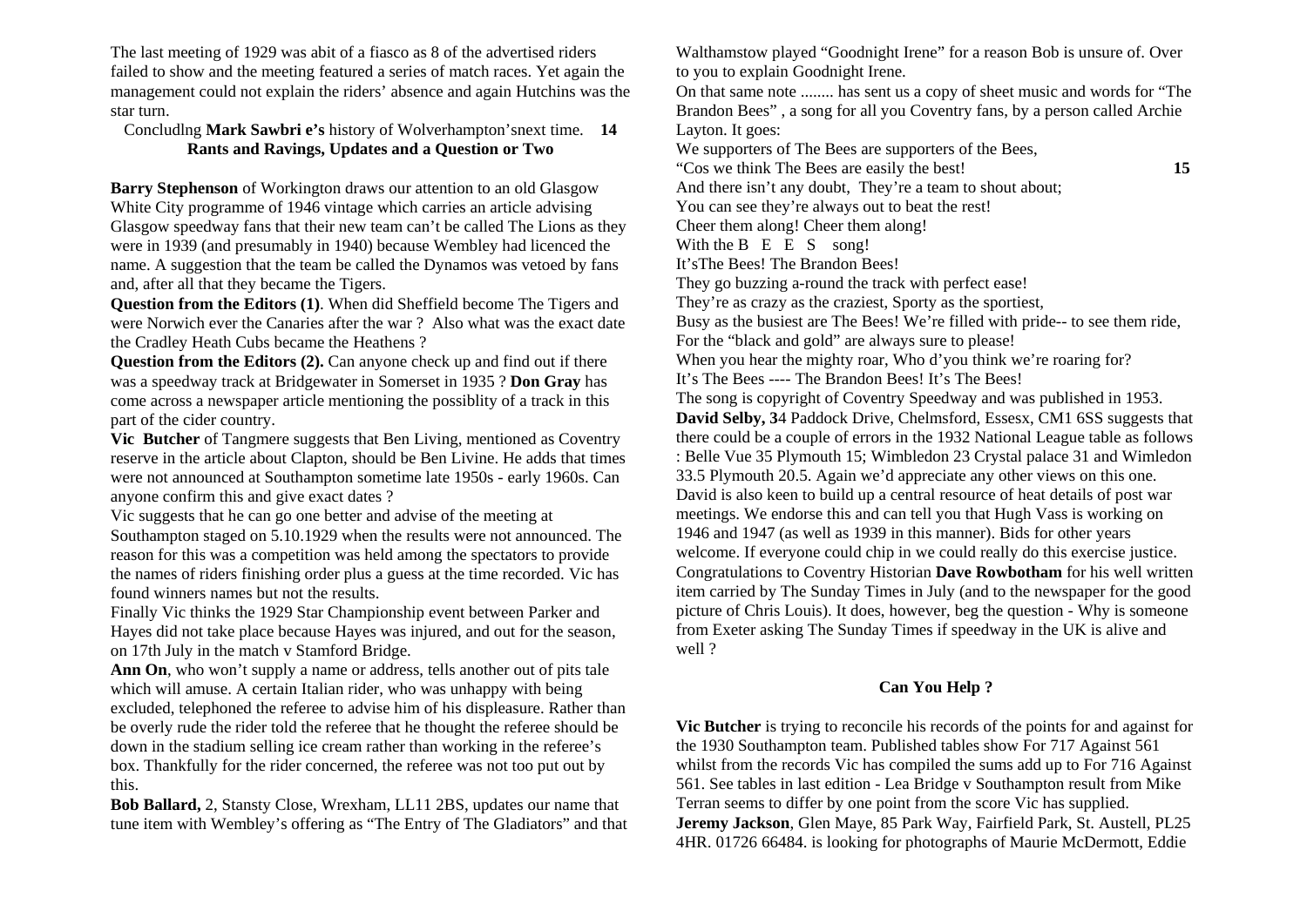The last meeting of 1929 was abit of a fiasco as 8 of the advertised riders failed to show and the meeting featured a series of match races. Yet again the management could not explain the riders' absence and again Hutchins was the star turn.

### Concludlng **Mark Sawbri e's** history of Wolverhampton'snext time. **14 Rants and Ravings, Updates and a Question or Two**

**Barry Stephenson** of Workington draws our attention to an old Glasgow White City programme of 1946 vintage which carries an article advising Glasgow speedway fans that their new team can't be called The Lions as they were in 1939 (and presumably in 1940) because Wembley had licenced the name. A suggestion that the team be called the Dynamos was vetoed by fans and, after all that they became the Tigers.

**Question from the Editors (1)**. When did Sheffield become The Tigers and were Norwich ever the Canaries after the war ? Also what was the exact date the Cradley Heath Cubs became the Heathens ?

**Question from the Editors (2).** Can anyone check up and find out if there was a speedway track at Bridgewater in Somerset in 1935 ? **Don Gray** has come across a newspaper article mentioning the possiblity of a track in this part of the cider country.

**Vic Butcher** of Tangmere suggests that Ben Living, mentioned as Coventry reserve in the article about Clapton, should be Ben Livine. He adds that times were not announced at Southampton sometime late 1950s - early 1960s. Can anyone confirm this and give exact dates ?

Vic suggests that he can go one better and advise of the meeting at

Southampton staged on 5.10.1929 when the results were not announced. The reason for this was a competition was held among the spectators to provide the names of riders finishing order plus a guess at the time recorded. Vic has found winners names but not the results.

Finally Vic thinks the 1929 Star Championship event between Parker and Hayes did not take place because Hayes was injured, and out for the season, on 17th July in the match v Stamford Bridge.

**Ann On**, who won't supply a name or address, tells another out of pits tale which will amuse. A certain Italian rider, who was unhappy with being excluded, telephoned the referee to advise him of his displeasure. Rather than be overly rude the rider told the referee that he thought the referee should be down in the stadium selling ice cream rather than working in the referee's box. Thankfully for the rider concerned, the referee was not too put out by this.

**Bob Ballard,** 2, Stansty Close, Wrexham, LL11 2BS, updates our name that tune item with Wembley's offering as "The Entry of The Gladiators" and that Walthamstow played "Goodnight Irene" for a reason Bob is unsure of. Over to you to explain Goodnight Irene.

On that same note ........ has sent us a copy of sheet music and words for "The Brandon Bees" , a song for all you Coventry fans, by a person called Archie Layton. It goes:

We supporters of The Bees are supporters of the Bees, "Cos we think The Bees are easily the best! **15** And there isn't any doubt, They're a team to shout about; You can see they're always out to beat the rest! Cheer them along! Cheer them along! With the B E E S song! It'sThe Bees! The Brandon Bees! They go buzzing a-round the track with perfect ease! They're as crazy as the craziest, Sporty as the sportiest, Busy as the busiest are The Bees! We're filled with pride-- to see them ride, For the "black and gold" are always sure to please! When you hear the mighty roar, Who d'you think we're roaring for? It's The Bees ---- The Brandon Bees! It's The Bees! The song is copyright of Coventry Speedway and was published in 1953. **David Selby, 3**4 Paddock Drive, Chelmsford, Essesx, CM1 6SS suggests that there could be a couple of errors in the 1932 National League table as follows : Belle Vue 35 Plymouth 15; Wimbledon 23 Crystal palace 31 and Wimledon 33.5 Plymouth 20.5. Again we'd appreciate any other views on this one. David is also keen to build up a central resource of heat details of post war meetings. We endorse this and can tell you that Hugh Vass is working on 1946 and 1947 (as well as 1939 in this manner). Bids for other years welcome. If everyone could chip in we could really do this exercise justice. Congratulations to Coventry Historian **Dave Rowbotham** for his well written item carried by The Sunday Times in July (and to the newspaper for the good picture of Chris Louis). It does, however, beg the question - Why is someone from Exeter asking The Sunday Times if speedway in the UK is alive and well ?

### **Can You Help ?**

**Vic Butcher** is trying to reconcile his records of the points for and against for the 1930 Southampton team. Published tables show For 717 Against 561 whilst from the records Vic has compiled the sums add up to For 716 Against 561. See tables in last edition - Lea Bridge v Southampton result from Mike Terran seems to differ by one point from the score Vic has supplied. **Jeremy Jackson**, Glen Maye, 85 Park Way, Fairfield Park, St. Austell, PL25 4HR. 01726 66484. is looking for photographs of Maurie McDermott, Eddie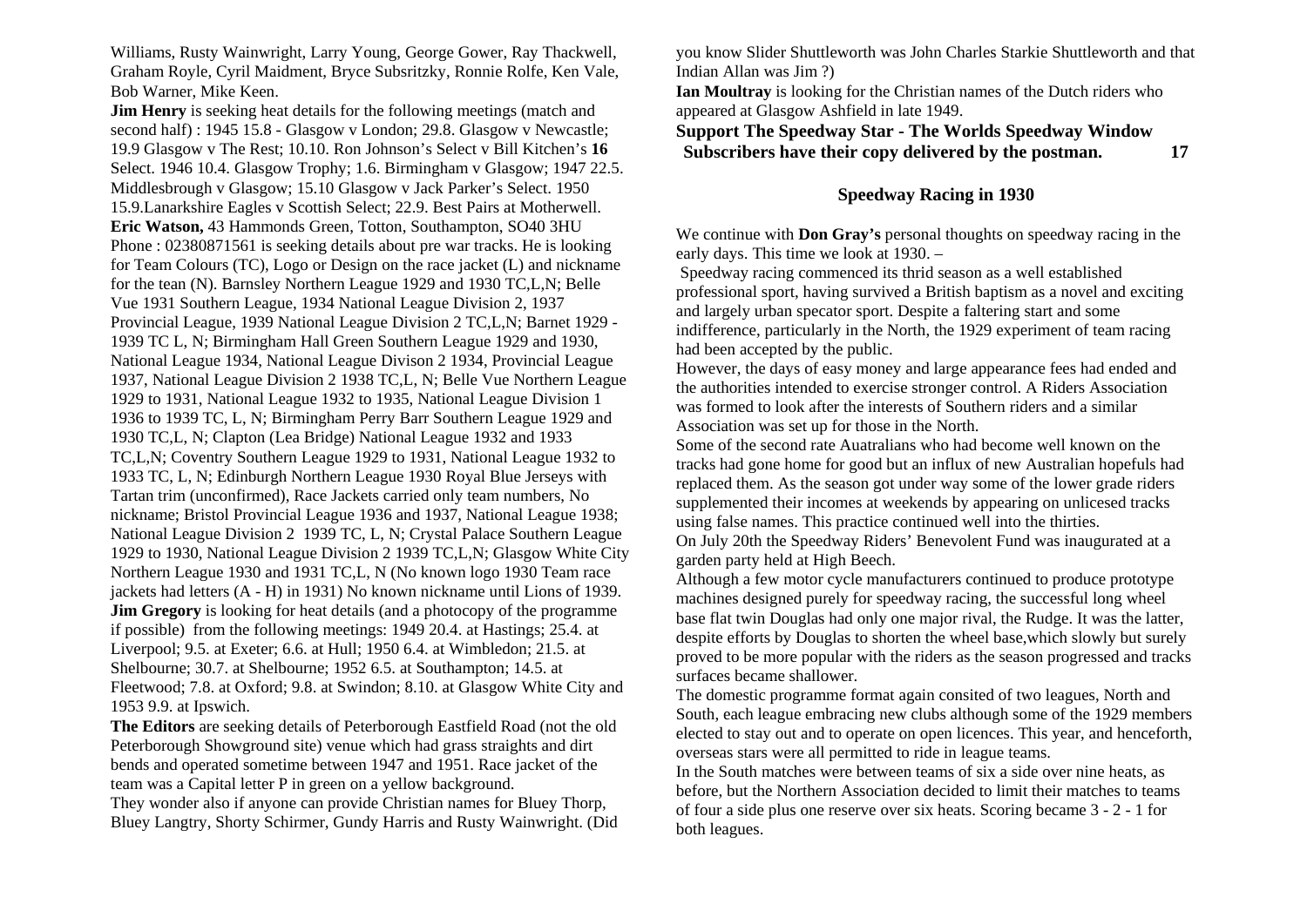Williams, Rusty Wainwright, Larry Young, George Gower, Ray Thackwell, Graham Royle, Cyril Maidment, Bryce Subsritzky, Ronnie Rolfe, Ken Vale, Bob Warner, Mike Keen.

**Jim Henry** is seeking heat details for the following meetings (match and second half) : 1945 15.8 - Glasgow v London; 29.8. Glasgow v Newcastle; 19.9 Glasgow v The Rest; 10.10. Ron Johnson's Select v Bill Kitchen's **16** Select. 1946 10.4. Glasgow Trophy; 1.6. Birmingham v Glasgow; 1947 22.5. Middlesbrough v Glasgow; 15.10 Glasgow v Jack Parker's Select. 1950 15.9.Lanarkshire Eagles v Scottish Select; 22.9. Best Pairs at Motherwell. **Eric Watson,** 43 Hammonds Green, Totton, Southampton, SO40 3HU Phone : 02380871561 is seeking details about pre war tracks. He is looking for Team Colours (TC), Logo or Design on the race jacket (L) and nickname for the tean (N). Barnsley Northern League 1929 and 1930 TC,L,N; Belle Vue 1931 Southern League, 1934 National League Division 2, 1937 Provincial League, 1939 National League Division 2 TC,L,N; Barnet 1929 - 1939 TC L, N; Birmingham Hall Green Southern League 1929 and 1930, National League 1934, National League Divison 2 1934, Provincial League 1937, National League Division 2 1938 TC,L, N; Belle Vue Northern League 1929 to 1931, National League 1932 to 1935, National League Division 1 1936 to 1939 TC, L, N; Birmingham Perry Barr Southern League 1929 and 1930 TC,L, N; Clapton (Lea Bridge) National League 1932 and 1933 TC,L,N; Coventry Southern League 1929 to 1931, National League 1932 to 1933 TC, L, N; Edinburgh Northern League 1930 Royal Blue Jerseys with Tartan trim (unconfirmed), Race Jackets carried only team numbers, No nickname; Bristol Provincial League 1936 and 1937, National League 1938; National League Division 2 1939 TC, L, N; Crystal Palace Southern League 1929 to 1930, National League Division 2 1939 TC,L,N; Glasgow White City Northern League 1930 and 1931 TC,L, N (No known logo 1930 Team race jackets had letters (A - H) in 1931) No known nickname until Lions of 1939. **Jim Gregory** is looking for heat details (and a photocopy of the programme if possible) from the following meetings: 1949 20.4. at Hastings; 25.4. at Liverpool; 9.5. at Exeter; 6.6. at Hull; 1950 6.4. at Wimbledon; 21.5. at Shelbourne; 30.7. at Shelbourne; 1952 6.5. at Southampton; 14.5. at Fleetwood; 7.8. at Oxford; 9.8. at Swindon; 8.10. at Glasgow White City and 1953 9.9. at Ipswich.

**The Editors** are seeking details of Peterborough Eastfield Road (not the old Peterborough Showground site) venue which had grass straights and dirt bends and operated sometime between 1947 and 1951. Race jacket of the team was a Capital letter P in green on a yellow background.

They wonder also if anyone can provide Christian names for Bluey Thorp, Bluey Langtry, Shorty Schirmer, Gundy Harris and Rusty Wainwright. (Did you know Slider Shuttleworth was John Charles Starkie Shuttleworth and that Indian Allan was Jim ?)

**Ian Moultray** is looking for the Christian names of the Dutch riders who appeared at Glasgow Ashfield in late 1949.

**Support The Speedway Star - The Worlds Speedway Window Subscribers have their copy delivered by the postman. 17** 

### **Speedway Racing in 1930**

We continue with **Don Gray's** personal thoughts on speedway racing in the early days. This time we look at 1930. –

 Speedway racing commenced its thrid season as a well established professional sport, having survived a British baptism as a novel and exciting and largely urban specator sport. Despite a faltering start and some indifference, particularly in the North, the 1929 experiment of team racing had been accepted by the public.

However, the days of easy money and large appearance fees had ended and the authorities intended to exercise stronger control. A Riders Association was formed to look after the interests of Southern riders and a similar Association was set up for those in the North.

Some of the second rate Auatralians who had become well known on the tracks had gone home for good but an influx of new Australian hopefuls had replaced them. As the season got under way some of the lower grade riders supplemented their incomes at weekends by appearing on unlicesed tracks using false names. This practice continued well into the thirties.

On July 20th the Speedway Riders' Benevolent Fund was inaugurated at a garden party held at High Beech.

Although a few motor cycle manufacturers continued to produce prototype machines designed purely for speedway racing, the successful long wheel base flat twin Douglas had only one major rival, the Rudge. It was the latter, despite efforts by Douglas to shorten the wheel base,which slowly but surely proved to be more popular with the riders as the season progressed and tracks surfaces became shallower.

The domestic programme format again consited of two leagues, North and South, each league embracing new clubs although some of the 1929 members elected to stay out and to operate on open licences. This year, and henceforth, overseas stars were all permitted to ride in league teams.

In the South matches were between teams of six a side over nine heats, as before, but the Northern Association decided to limit their matches to teams of four a side plus one reserve over six heats. Scoring became 3 - 2 - 1 for both leagues.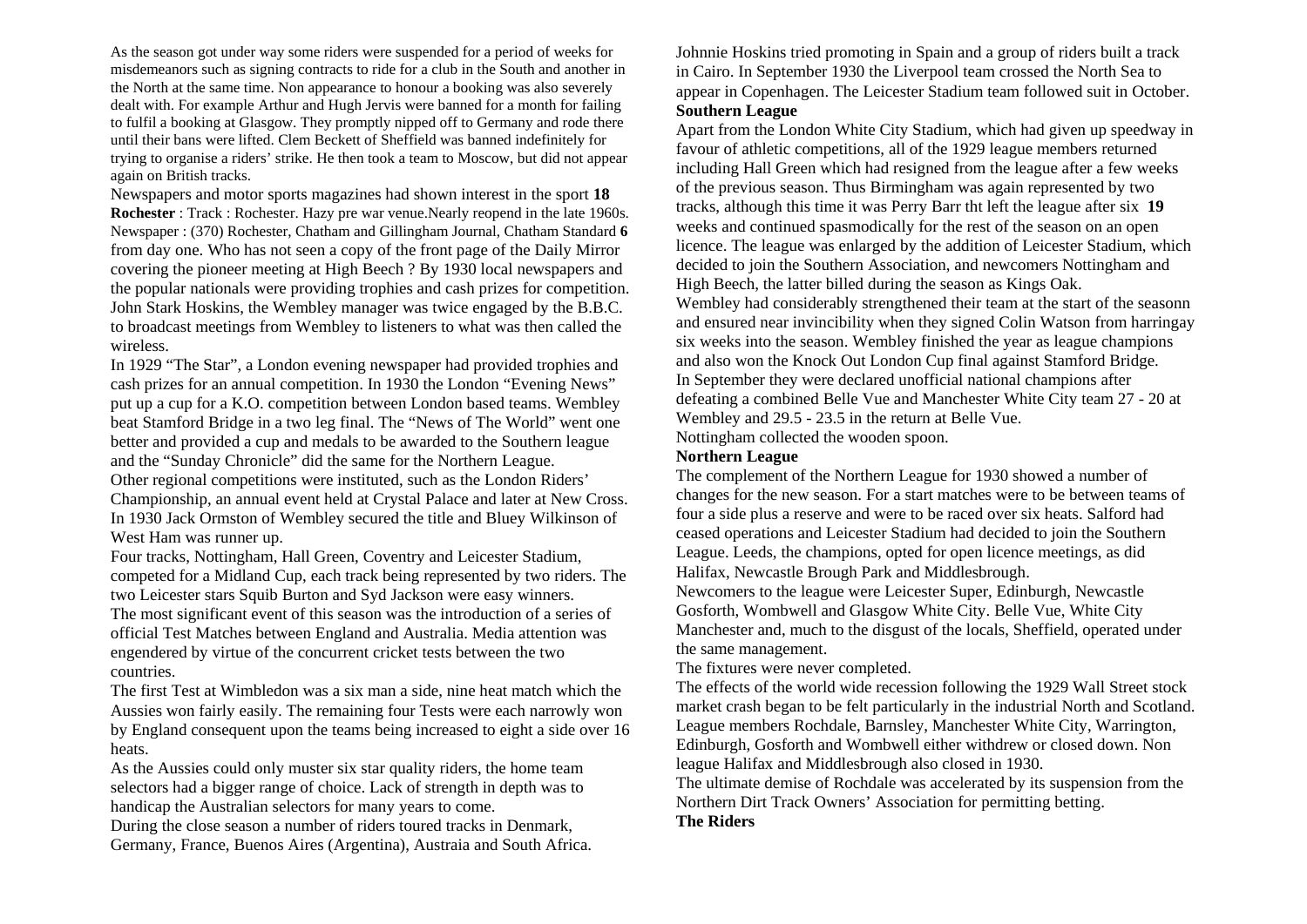As the season got under way some riders were suspended for a period of weeks for misdemeanors such as signing contracts to ride for a club in the South and another in the North at the same time. Non appearance to honour a booking was also severely dealt with. For example Arthur and Hugh Jervis were banned for a month for failing to fulfil a booking at Glasgow. They promptly nipped off to Germany and rode there until their bans were lifted. Clem Beckett of Sheffield was banned indefinitely for trying to organise a riders' strike. He then took a team to Moscow, but did not appear again on British tracks.

Newspapers and motor sports magazines had shown interest in the sport **18 Rochester** : Track : Rochester. Hazy pre war venue.Nearly reopend in the late 1960s. Newspaper : (370) Rochester, Chatham and Gillingham Journal, Chatham Standard **6**  from day one. Who has not seen a copy of the front page of the Daily Mirror covering the pioneer meeting at High Beech ? By 1930 local newspapers and the popular nationals were providing trophies and cash prizes for competition. John Stark Hoskins, the Wembley manager was twice engaged by the B.B.C. to broadcast meetings from Wembley to listeners to what was then called the wireless.

In 1929 "The Star", a London evening newspaper had provided trophies and cash prizes for an annual competition. In 1930 the London "Evening News" put up a cup for a K.O. competition between London based teams. Wembley beat Stamford Bridge in a two leg final. The "News of The World" went one better and provided a cup and medals to be awarded to the Southern league and the "Sunday Chronicle" did the same for the Northern League. Other regional competitions were instituted, such as the London Riders' Championship, an annual event held at Crystal Palace and later at New Cross. In 1930 Jack Ormston of Wembley secured the title and Bluey Wilkinson of West Ham was runner up.

Four tracks, Nottingham, Hall Green, Coventry and Leicester Stadium, competed for a Midland Cup, each track being represented by two riders. The two Leicester stars Squib Burton and Syd Jackson were easy winners. The most significant event of this season was the introduction of a series of official Test Matches between England and Australia. Media attention was engendered by virtue of the concurrent cricket tests between the two countries.

The first Test at Wimbledon was a six man a side, nine heat match which the Aussies won fairly easily. The remaining four Tests were each narrowly won by England consequent upon the teams being increased to eight a side over 16 heats.

As the Aussies could only muster six star quality riders, the home team selectors had a bigger range of choice. Lack of strength in depth was to handicap the Australian selectors for many years to come.

During the close season a number of riders toured tracks in Denmark, Germany, France, Buenos Aires (Argentina), Austraia and South Africa. Johnnie Hoskins tried promoting in Spain and a group of riders built a track in Cairo. In September 1930 the Liverpool team crossed the North Sea to appear in Copenhagen. The Leicester Stadium team followed suit in October. **Southern League**

Apart from the London White City Stadium, which had given up speedway in favour of athletic competitions, all of the 1929 league members returned including Hall Green which had resigned from the league after a few weeks of the previous season. Thus Birmingham was again represented by two tracks, although this time it was Perry Barr tht left the league after six **19**  weeks and continued spasmodically for the rest of the season on an open licence. The league was enlarged by the addition of Leicester Stadium, which decided to join the Southern Association, and newcomers Nottingham and High Beech, the latter billed during the season as Kings Oak. Wembley had considerably strengthened their team at the start of the seasonn and ensured near invincibility when they signed Colin Watson from harringay six weeks into the season. Wembley finished the year as league champions and also won the Knock Out London Cup final against Stamford Bridge. In September they were declared unofficial national champions after defeating a combined Belle Vue and Manchester White City team 27 - 20 at Wembley and 29.5 - 23.5 in the return at Belle Vue. Nottingham collected the wooden spoon.

#### **Northern League**

The complement of the Northern League for 1930 showed a number of changes for the new season. For a start matches were to be between teams of four a side plus a reserve and were to be raced over six heats. Salford had ceased operations and Leicester Stadium had decided to join the Southern League. Leeds, the champions, opted for open licence meetings, as did Halifax, Newcastle Brough Park and Middlesbrough.

Newcomers to the league were Leicester Super, Edinburgh, Newcastle Gosforth, Wombwell and Glasgow White City. Belle Vue, White City Manchester and, much to the disgust of the locals, Sheffield, operated under the same management.

The fixtures were never completed.

The effects of the world wide recession following the 1929 Wall Street stock market crash began to be felt particularly in the industrial North and Scotland. League members Rochdale, Barnsley, Manchester White City, Warrington, Edinburgh, Gosforth and Wombwell either withdrew or closed down. Non league Halifax and Middlesbrough also closed in 1930.

The ultimate demise of Rochdale was accelerated by its suspension from the Northern Dirt Track Owners' Association for permitting betting. **The Riders**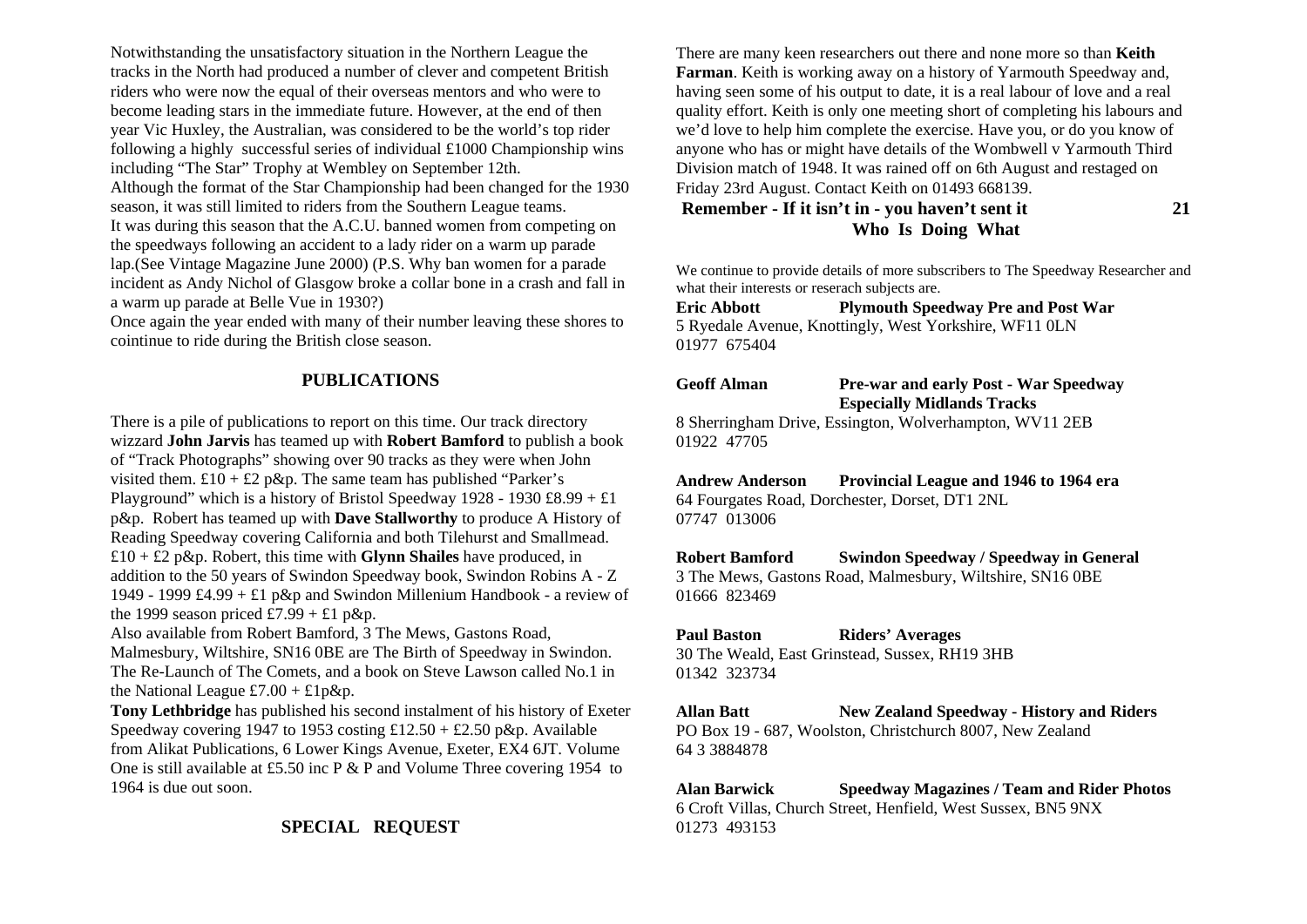Notwithstanding the unsatisfactory situation in the Northern League the tracks in the North had produced a number of clever and competent British riders who were now the equal of their overseas mentors and who were to become leading stars in the immediate future. However, at the end of then year Vic Huxley, the Australian, was considered to be the world's top rider following a highly successful series of individual £1000 Championship wins including "The Star" Trophy at Wembley on September 12th. Although the format of the Star Championship had been changed for the 1930 season, it was still limited to riders from the Southern League teams. It was during this season that the A.C.U. banned women from competing on the speedways following an accident to a lady rider on a warm up parade lap.(See Vintage Magazine June 2000) (P.S. Why ban women for a parade incident as Andy Nichol of Glasgow broke a collar bone in a crash and fall in a warm up parade at Belle Vue in 1930?)

Once again the year ended with many of their number leaving these shores to cointinue to ride during the British close season.

# **PUBLICATIONS**

There is a pile of publications to report on this time. Our track directory wizzard **John Jarvis** has teamed up with **Robert Bamford** to publish a book of "Track Photographs" showing over 90 tracks as they were when John visited them.  $£10 + £2$  p&p. The same team has published "Parker's Playground" which is a history of Bristol Speedway 1928 - 1930 £8.99 + £1 p&p. Robert has teamed up with **Dave Stallworthy** to produce A History of Reading Speedway covering California and both Tilehurst and Smallmead. £10 + £2 p&p. Robert, this time with **Glynn Shailes** have produced, in addition to the 50 years of Swindon Speedway book, Swindon Robins A - Z 1949 - 1999 £4.99 + £1 p&p and Swindon Millenium Handbook - a review of the 1999 season priced £7.99 + £1 p&p.

Also available from Robert Bamford, 3 The Mews, Gastons Road, Malmesbury, Wiltshire, SN16 0BE are The Birth of Speedway in Swindon. The Re-Launch of The Comets, and a book on Steve Lawson called No.1 in the National League £7.00 + £1p&p.

**Tony Lethbridge** has published his second instalment of his history of Exeter Speedway covering 1947 to 1953 costing  $\pounds$ 12.50 +  $\pounds$ 2.50 p&p. Available from Alikat Publications, 6 Lower Kings Avenue, Exeter, EX4 6JT. Volume One is still available at £5.50 inc P & P and Volume Three covering 1954 to 1964 is due out soon.

# **SPECIAL REQUEST**

There are many keen researchers out there and none more so than **Keith Farman**. Keith is working away on a history of Yarmouth Speedway and, having seen some of his output to date, it is a real labour of love and a real quality effort. Keith is only one meeting short of completing his labours and we'd love to help him complete the exercise. Have you, or do you know of anyone who has or might have details of the Wombwell v Yarmouth Third Division match of 1948. It was rained off on 6th August and restaged on Friday 23rd August. Contact Keith on 01493 668139.

**Remember - If it isn't in - you haven't sent it 21 Who Is Doing What** 

We continue to provide details of more subscribers to The Speedway Researcher and what their interests or reserach subjects are.

**Eric Abbott Plymouth Speedway Pre and Post War**  5 Ryedale Avenue, Knottingly, West Yorkshire, WF11 0LN 01977 675404

### **Geoff Alman Pre-war and early Post - War Speedway Especially Midlands Tracks**

8 Sherringham Drive, Essington, Wolverhampton, WV11 2EB 01922 47705

**Andrew Anderson Provincial League and 1946 to 1964 era**  64 Fourgates Road, Dorchester, Dorset, DT1 2NL 07747 013006

**Robert Bamford Swindon Speedway / Speedway in General**  3 The Mews, Gastons Road, Malmesbury, Wiltshire, SN16 0BE 01666 823469

**Paul Baston Riders' Averages**  30 The Weald, East Grinstead, Sussex, RH19 3HB 01342 323734

**Allan Batt New Zealand Speedway - History and Riders**  PO Box 19 - 687, Woolston, Christchurch 8007, New Zealand 64 3 3884878

**Alan Barwick Speedway Magazines / Team and Rider Photos**  6 Croft Villas, Church Street, Henfield, West Sussex, BN5 9NX 01273 493153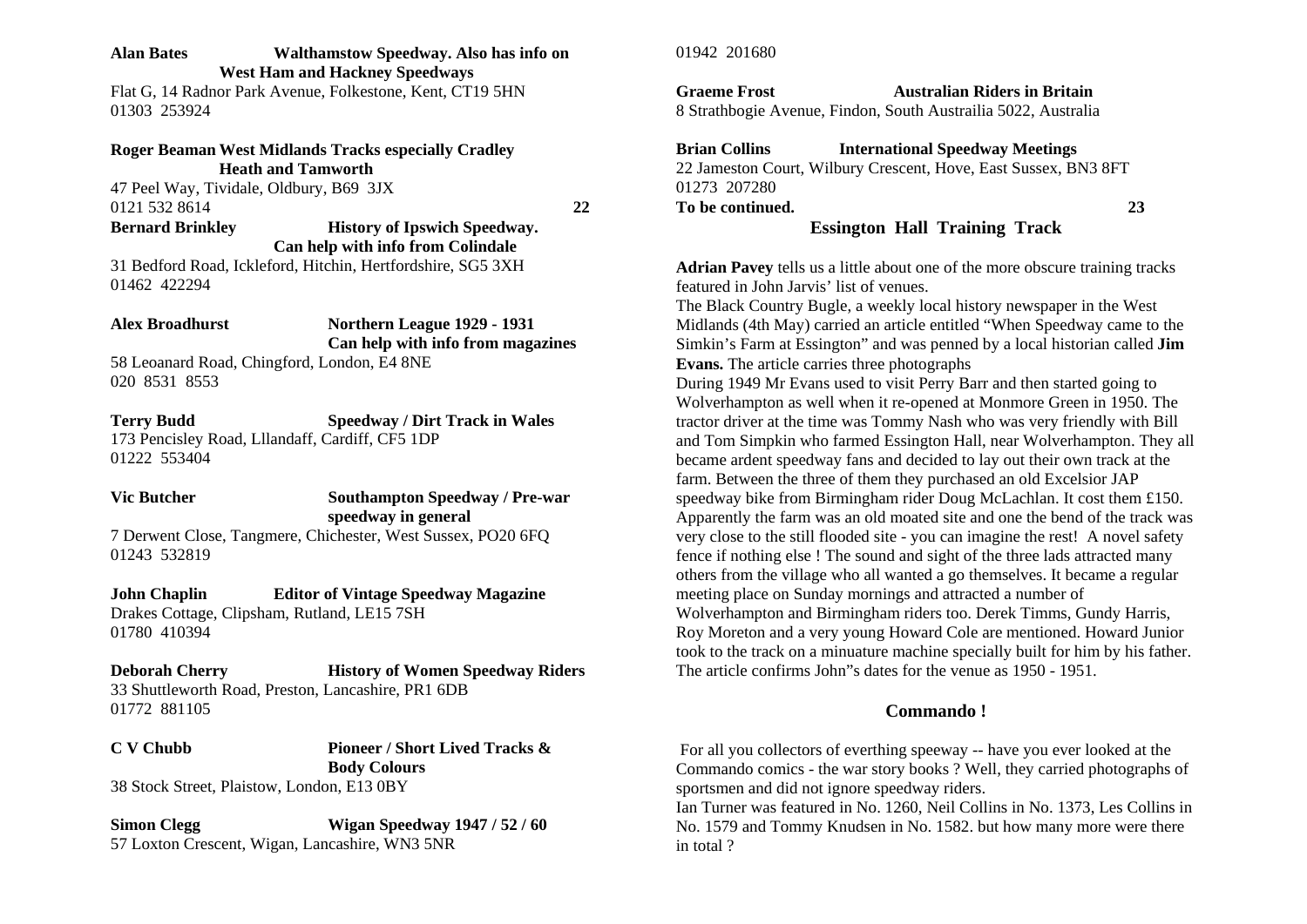#### **Alan Bates Walthamstow Speedway. Also has info on West Ham and Hackney Speedways**

Flat G, 14 Radnor Park Avenue, Folkestone, Kent, CT19 5HN 01303 253924

# **Roger Beaman West Midlands Tracks especially Cradley Heath and Tamworth**

47 Peel Way, Tividale, Oldbury, B69 3JX 0121 532 8614 **22** 

#### **Bernard Brinkley History of Ipswich Speedway. Can help with info from Colindale**

31 Bedford Road, Ickleford, Hitchin, Hertfordshire, SG5 3XH 01462 422294

### **Alex Broadhurst Northern League 1929 - 1931 Can help with info from magazines**

58 Leoanard Road, Chingford, London, E4 8NE 020 8531 8553

**Terry Budd Speedway / Dirt Track in Wales**  173 Pencisley Road, Lllandaff, Cardiff, CF5 1DP 01222 553404

### **Vic Butcher Southampton Speedway / Pre-war speedway in general**  7 Derwent Close, Tangmere, Chichester, West Sussex, PO20 6FQ

**John Chaplin Editor of Vintage Speedway Magazine**  Drakes Cottage, Clipsham, Rutland, LE15 7SH

01780 410394

01243 532819

#### **Deborah Cherry History of Women Speedway Riders**  33 Shuttleworth Road, Preston, Lancashire, PR1 6DB 01772 881105

**C V Chubb Pioneer / Short Lived Tracks & Body Colours**  38 Stock Street, Plaistow, London, E13 0BY

### **Simon Clegg Wigan Speedway 1947 / 52 / 60**  57 Loxton Crescent, Wigan, Lancashire, WN3 5NR

01942 201680

### **Graeme Frost Australian Riders in Britain**

8 Strathbogie Avenue, Findon, South Austrailia 5022, Australia

# **Brian Collins International Speedway Meetings**  22 Jameston Court, Wilbury Crescent, Hove, East Sussex, BN3 8FT

01273 207280 **To be continued. 23** 

## **Essington Hall Training Track**

**Adrian Pavey** tells us a little about one of the more obscure training tracks featured in John Jarvis' list of venues.

The Black Country Bugle, a weekly local history newspaper in the West Midlands (4th May) carried an article entitled "When Speedway came to the Simkin's Farm at Essington" and was penned by a local historian called **Jim Evans.** The article carries three photographs

During 1949 Mr Evans used to visit Perry Barr and then started going to Wolverhampton as well when it re-opened at Monmore Green in 1950. The tractor driver at the time was Tommy Nash who was very friendly with Bill and Tom Simpkin who farmed Essington Hall, near Wolverhampton. They all became ardent speedway fans and decided to lay out their own track at the farm. Between the three of them they purchased an old Excelsior JAP speedway bike from Birmingham rider Doug McLachlan. It cost them £150. Apparently the farm was an old moated site and one the bend of the track was very close to the still flooded site - you can imagine the rest! A novel safety fence if nothing else ! The sound and sight of the three lads attracted many others from the village who all wanted a go themselves. It became a regular meeting place on Sunday mornings and attracted a number of Wolverhampton and Birmingham riders too. Derek Timms, Gundy Harris, Roy Moreton and a very young Howard Cole are mentioned. Howard Junior took to the track on a minuature machine specially built for him by his father. The article confirms John"s dates for the venue as 1950 - 1951.

# **Commando !**

 For all you collectors of everthing speeway -- have you ever looked at the Commando comics - the war story books ? Well, they carried photographs of sportsmen and did not ignore speedway riders.

Ian Turner was featured in No. 1260, Neil Collins in No. 1373, Les Collins in No. 1579 and Tommy Knudsen in No. 1582. but how many more were there in total ?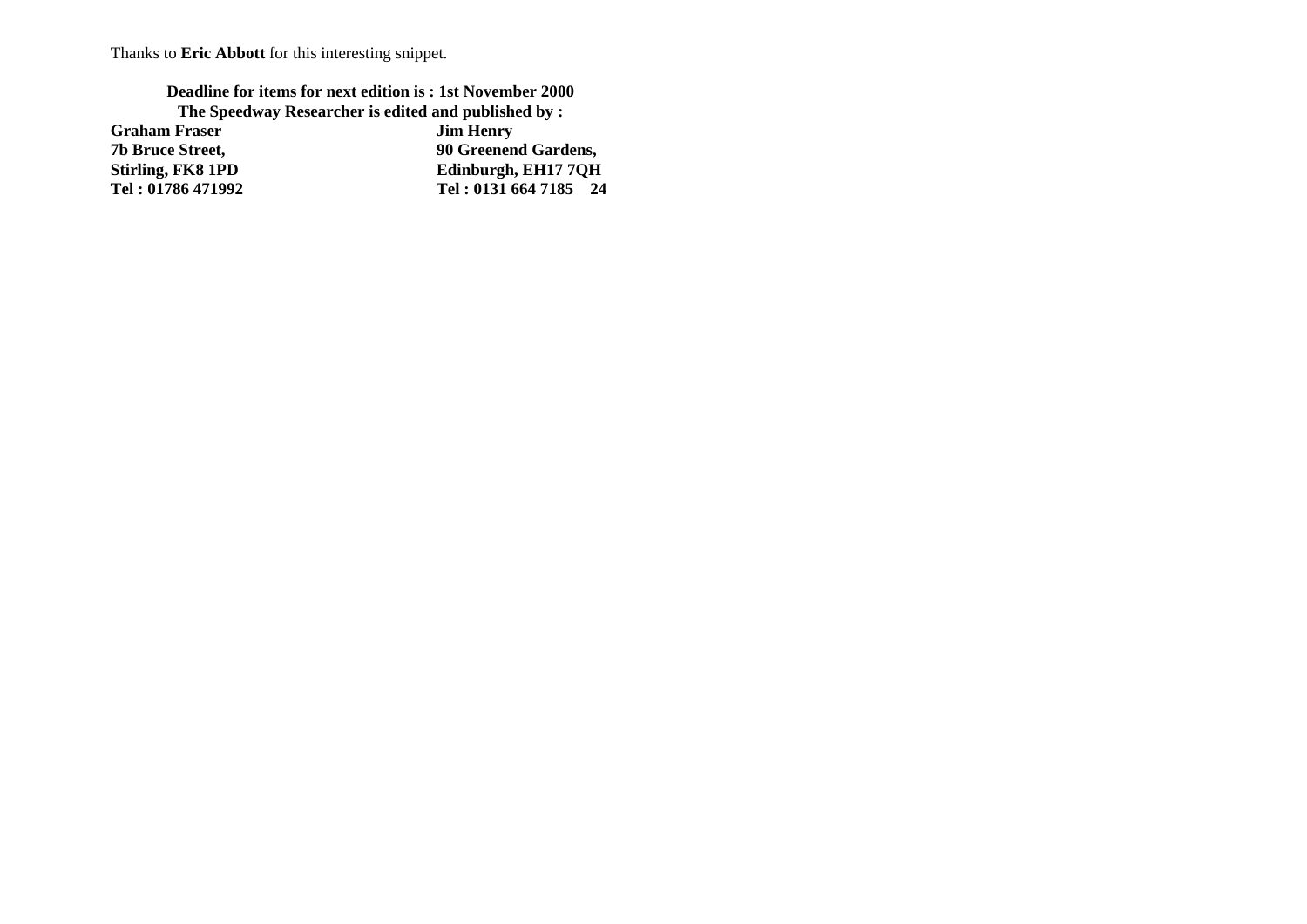Thanks to **Eric Abbott** for this interesting snippet.

**Deadline for items for next edition is : 1st November 2000 The Speedway Researcher is edited and published by :<br>Fraser Jim Henry** 

**Graham Fraser<br>7b Bruce Street,** 

**90 Greenend Gardens, Stirling, FK8 1PD**<br> **Comparison Edinburgh, EH17 7QH**<br> **Comparison Edinburgh, EH17 7QH**<br> **Comparison Fel: 0131 664 7185** 24 **Tel : 01786 471992 Tel : 0131 664 7185 24**